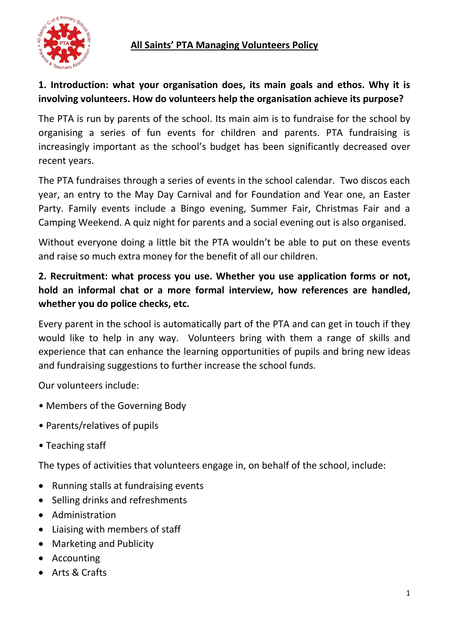

# **1. Introduction: what your organisation does, its main goals and ethos. Why it is involving volunteers. How do volunteers help the organisation achieve its purpose?**

The PTA is run by parents of the school. Its main aim is to fundraise for the school by organising a series of fun events for children and parents. PTA fundraising is increasingly important as the school's budget has been significantly decreased over recent years.

The PTA fundraises through a series of events in the school calendar. Two discos each year, an entry to the May Day Carnival and for Foundation and Year one, an Easter Party. Family events include a Bingo evening, Summer Fair, Christmas Fair and a Camping Weekend. A quiz night for parents and a social evening out is also organised.

Without everyone doing a little bit the PTA wouldn't be able to put on these events and raise so much extra money for the benefit of all our children.

# **2. Recruitment: what process you use. Whether you use application forms or not, hold an informal chat or a more formal interview, how references are handled, whether you do police checks, etc.**

Every parent in the school is automatically part of the PTA and can get in touch if they would like to help in any way. Volunteers bring with them a range of skills and experience that can enhance the learning opportunities of pupils and bring new ideas and fundraising suggestions to further increase the school funds.

Our volunteers include:

- Members of the Governing Body
- Parents/relatives of pupils
- Teaching staff

The types of activities that volunteers engage in, on behalf of the school, include:

- Running stalls at fundraising events
- Selling drinks and refreshments
- Administration
- Liaising with members of staff
- Marketing and Publicity
- Accounting
- Arts & Crafts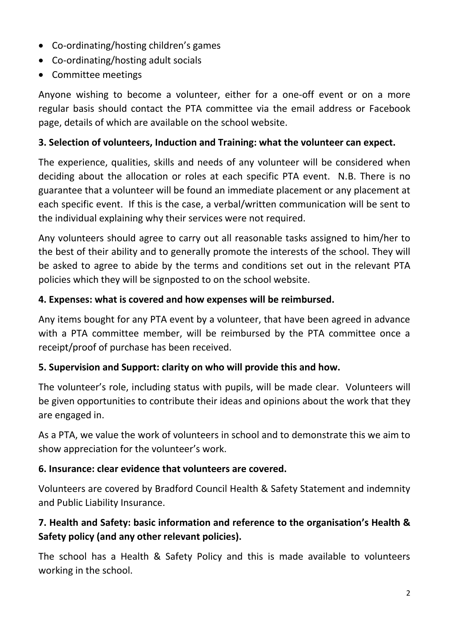- Co-ordinating/hosting children's games
- Co-ordinating/hosting adult socials
- Committee meetings

Anyone wishing to become a volunteer, either for a one-off event or on a more regular basis should contact the PTA committee via the email address or Facebook page, details of which are available on the school website.

#### **3. Selection of volunteers, Induction and Training: what the volunteer can expect.**

The experience, qualities, skills and needs of any volunteer will be considered when deciding about the allocation or roles at each specific PTA event. N.B. There is no guarantee that a volunteer will be found an immediate placement or any placement at each specific event. If this is the case, a verbal/written communication will be sent to the individual explaining why their services were not required.

Any volunteers should agree to carry out all reasonable tasks assigned to him/her to the best of their ability and to generally promote the interests of the school. They will be asked to agree to abide by the terms and conditions set out in the relevant PTA policies which they will be signposted to on the school website.

#### **4. Expenses: what is covered and how expenses will be reimbursed.**

Any items bought for any PTA event by a volunteer, that have been agreed in advance with a PTA committee member, will be reimbursed by the PTA committee once a receipt/proof of purchase has been received.

### **5. Supervision and Support: clarity on who will provide this and how.**

The volunteer's role, including status with pupils, will be made clear.Volunteers will be given opportunities to contribute their ideas and opinions about the work that they are engaged in.

As a PTA, we value the work of volunteers in school and to demonstrate this we aim to show appreciation for the volunteer's work.

#### **6. Insurance: clear evidence that volunteers are covered.**

Volunteers are covered by Bradford Council Health & Safety Statement and indemnity and Public Liability Insurance.

## **7. Health and Safety: basic information and reference to the organisation's Health & Safety policy (and any other relevant policies).**

The school has a Health & Safety Policy and this is made available to volunteers working in the school.